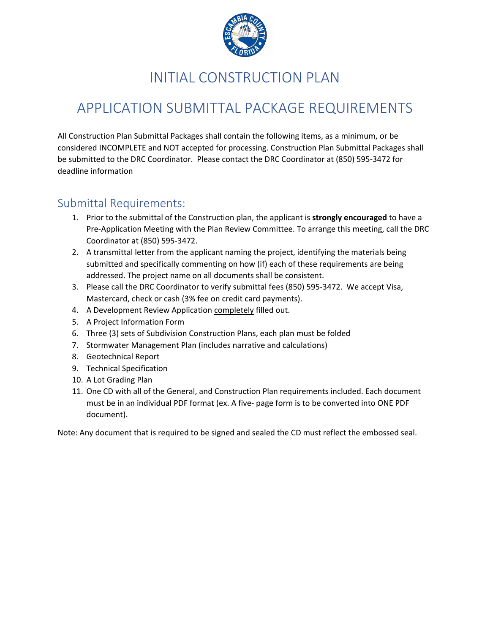

## INITIAL CONSTRUCTION PLAN

# APPLICATION SUBMITTAL PACKAGE REQUIREMENTS

All Construction Plan Submittal Packages shall contain the following items, as a minimum, or be considered INCOMPLETE and NOT accepted for processing. Construction Plan Submittal Packages shall be submitted to the DRC Coordinator. Please contact the DRC Coordinator at (850) 595-3472 for deadline information

### Submittal Requirements:

- 1. Prior to the submittal of the Construction plan, the applicant is **strongly encouraged** to have a Pre-Application Meeting with the Plan Review Committee. To arrange this meeting, call the DRC Coordinator at (850) 595-3472.
- 2. A transmittal letter from the applicant naming the project, identifying the materials being submitted and specifically commenting on how (if) each of these requirements are being addressed. The project name on all documents shall be consistent.
- 3. Please call the DRC Coordinator to verify submittal fees (850) 595-3472. We accept Visa, Mastercard, check or cash (3% fee on credit card payments).
- 4. A Development Review Application completely filled out.
- 5. A Project Information Form
- 6. Three (3) sets of Subdivision Construction Plans, each plan must be folded
- 7. Stormwater Management Plan (includes narrative and calculations)
- 8. Geotechnical Report
- 9. Technical Specification
- 10. A Lot Grading Plan
- 11. One CD with all of the General, and Construction Plan requirements included. Each document must be in an individual PDF format (ex. A five- page form is to be converted into ONE PDF document).

Note: Any document that is required to be signed and sealed the CD must reflect the embossed seal.